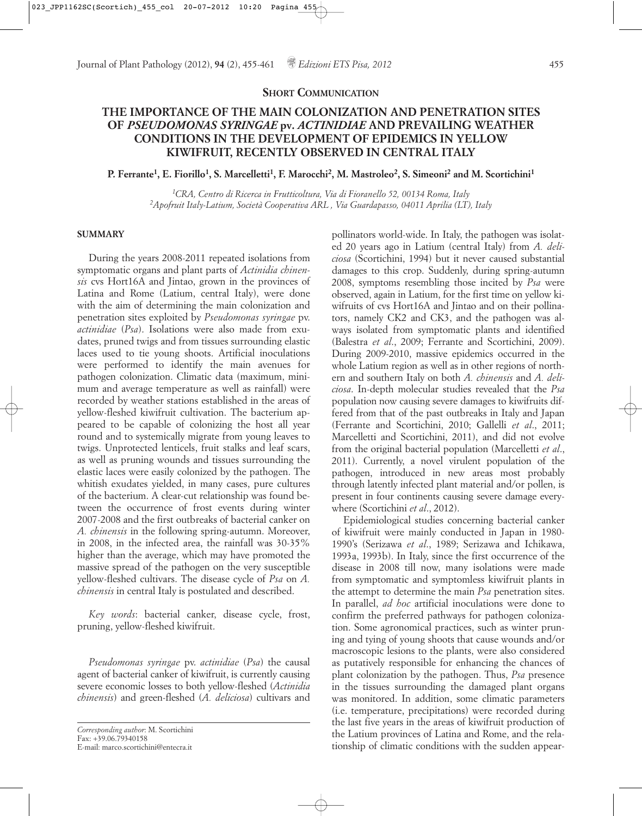## **SHORT COMMUNICATION**

## **THE IMPORTANCE OF THE MAIN COLONIZATION AND PENETRATION SITES OF** *PSEUDOMONAS SYRINGAE* **pv.** *ACTINIDIAE* **AND PREVAILING WEATHER CONDITIONS IN THE DEVELOPMENT OF EPIDEMICS IN YELLOW KIWIFRUIT, RECENTLY OBSERVED IN CENTRAL ITALY**

**P. Ferrante1, E. Fiorillo1, S. Marcelletti1, F. Marocchi2, M. Mastroleo2, S. Simeoni2 and M. Scortichini1**

*1CRA, Centro di Ricerca in Frutticoltura, Via di Fioranello 52, 00134 Roma, Italy 2Apofruit Italy-Latium, Società Cooperativa ARL , Via Guardapasso, 04011 Aprilia (LT), Italy*

## **SUMMARY**

During the years 2008-2011 repeated isolations from symptomatic organs and plant parts of *Actinidia chinensis* cvs Hort16A and Jintao, grown in the provinces of Latina and Rome (Latium, central Italy), were done with the aim of determining the main colonization and penetration sites exploited by *Pseudomonas syringae* pv. *actinidiae* (*Psa*). Isolations were also made from exudates, pruned twigs and from tissues surrounding elastic laces used to tie young shoots. Artificial inoculations were performed to identify the main avenues for pathogen colonization. Climatic data (maximum, minimum and average temperature as well as rainfall) were recorded by weather stations established in the areas of yellow-fleshed kiwifruit cultivation. The bacterium appeared to be capable of colonizing the host all year round and to systemically migrate from young leaves to twigs. Unprotected lenticels, fruit stalks and leaf scars, as well as pruning wounds and tissues surrounding the elastic laces were easily colonized by the pathogen. The whitish exudates yielded, in many cases, pure cultures of the bacterium. A clear-cut relationship was found between the occurrence of frost events during winter 2007-2008 and the first outbreaks of bacterial canker on *A. chinensis* in the following spring-autumn. Moreover, in 2008, in the infected area, the rainfall was 30-35% higher than the average, which may have promoted the massive spread of the pathogen on the very susceptible yellow-fleshed cultivars. The disease cycle of *Psa* on *A. chinensis* in central Italy is postulated and described.

*Key words*: bacterial canker, disease cycle, frost, pruning, yellow-fleshed kiwifruit.

*Pseudomonas syringae* pv. *actinidiae* (*Psa*) the causal agent of bacterial canker of kiwifruit, is currently causing severe economic losses to both yellow-fleshed (*Actinidia chinensis*) and green-fleshed (*A. deliciosa*) cultivars and pollinators world-wide. In Italy, the pathogen was isolated 20 years ago in Latium (central Italy) from *A. deliciosa* (Scortichini, 1994) but it never caused substantial damages to this crop. Suddenly, during spring-autumn 2008, symptoms resembling those incited by *Psa* were observed, again in Latium, for the first time on yellow kiwifruits of cvs Hort16A and Jintao and on their pollinators, namely CK2 and CK3, and the pathogen was always isolated from symptomatic plants and identified (Balestra *et al*., 2009; Ferrante and Scortichini, 2009). During 2009-2010, massive epidemics occurred in the whole Latium region as well as in other regions of northern and southern Italy on both *A. chinensis* and *A. deliciosa*. In-depth molecular studies revealed that the *Psa* population now causing severe damages to kiwifruits differed from that of the past outbreaks in Italy and Japan (Ferrante and Scortichini, 2010; Gallelli *et al*., 2011; Marcelletti and Scortichini, 2011), and did not evolve from the original bacterial population (Marcelletti *et al*., 2011). Currently, a novel virulent population of the pathogen, introduced in new areas most probably through latently infected plant material and/or pollen, is present in four continents causing severe damage everywhere (Scortichini *et al*., 2012).

Epidemiological studies concerning bacterial canker of kiwifruit were mainly conducted in Japan in 1980- 1990's (Serizawa *et al*., 1989; Serizawa and Ichikawa, 1993a, 1993b). In Italy, since the first occurrence of the disease in 2008 till now, many isolations were made from symptomatic and symptomless kiwifruit plants in the attempt to determine the main *Psa* penetration sites. In parallel, *ad hoc* artificial inoculations were done to confirm the preferred pathways for pathogen colonization. Some agronomical practices, such as winter pruning and tying of young shoots that cause wounds and/or macroscopic lesions to the plants, were also considered as putatively responsible for enhancing the chances of plant colonization by the pathogen. Thus, *Psa* presence in the tissues surrounding the damaged plant organs was monitored. In addition, some climatic parameters (i.e. temperature, precipitations) were recorded during the last five years in the areas of kiwifruit production of the Latium provinces of Latina and Rome, and the relationship of climatic conditions with the sudden appear-

*Corresponding author*: M. Scortichini Fax: +39.06.79340158 E-mail: marco.scortichini@entecra.it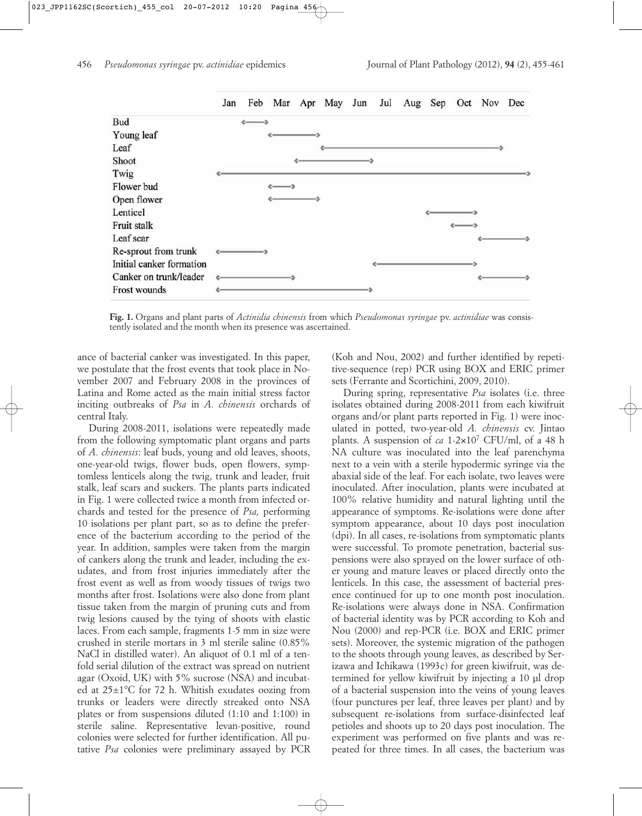

**Fig. 1.** Organs and plant parts of *Actinidia chinensis* from which *Pseudomonas syringae* pv. *actinidiae* was consistently isolated and the month when its presence was ascertained.

ance of bacterial canker was investigated. In this paper, we postulate that the frost events that took place in November 2007 and February 2008 in the provinces of Latina and Rome acted as the main initial stress factor inciting outbreaks of *Psa* in *A. chinensis* orchards of central Italy.

During 2008-2011, isolations were repeatedly made from the following symptomatic plant organs and parts of *A. chinensis*: leaf buds, young and old leaves, shoots, one-year-old twigs, flower buds, open flowers, symptomless lenticels along the twig, trunk and leader, fruit stalk, leaf scars and suckers. The plants parts indicated in Fig. 1 were collected twice a month from infected orchards and tested for the presence of *Psa,* performing 10 isolations per plant part, so as to define the preference of the bacterium according to the period of the year. In addition, samples were taken from the margin of cankers along the trunk and leader, including the exudates, and from frost injuries immediately after the frost event as well as from woody tissues of twigs two months after frost. Isolations were also done from plant tissue taken from the margin of pruning cuts and from twig lesions caused by the tying of shoots with elastic laces. From each sample, fragments 1-5 mm in size were crushed in sterile mortars in 3 ml sterile saline (0.85% NaCl in distilled water). An aliquot of 0.1 ml of a tenfold serial dilution of the extract was spread on nutrient agar (Oxoid, UK) with 5% sucrose (NSA) and incubated at 25±1°C for 72 h. Whitish exudates oozing from trunks or leaders were directly streaked onto NSA plates or from suspensions diluted (1:10 and 1:100) in sterile saline. Representative levan-positive, round colonies were selected for further identification. All putative *Psa* colonies were preliminary assayed by PCR

(Koh and Nou, 2002) and further identified by repetitive-sequence (rep) PCR using BOX and ERIC primer sets (Ferrante and Scortichini, 2009, 2010).

During spring, representative *Psa* isolates (i.e. three isolates obtained during 2008-2011 from each kiwifruit organs and/or plant parts reported in Fig. 1) were inoculated in potted, two-year-old *A. chinensis* cv. Jintao plants. A suspension of *ca* 1-2×107 CFU/ml, of a 48 h NA culture was inoculated into the leaf parenchyma next to a vein with a sterile hypodermic syringe via the abaxial side of the leaf. For each isolate, two leaves were inoculated. After inoculation, plants were incubated at 100% relative humidity and natural lighting until the appearance of symptoms. Re-isolations were done after symptom appearance, about 10 days post inoculation (dpi). In all cases, re-isolations from symptomatic plants were successful. To promote penetration, bacterial suspensions were also sprayed on the lower surface of other young and mature leaves or placed directly onto the lenticels. In this case, the assessment of bacterial presence continued for up to one month post inoculation. Re-isolations were always done in NSA. Confirmation of bacterial identity was by PCR according to Koh and Nou (2000) and rep-PCR (i.e. BOX and ERIC primer sets). Moreover, the systemic migration of the pathogen to the shoots through young leaves, as described by Serizawa and Ichikawa (1993c) for green kiwifruit, was determined for yellow kiwifruit by injecting a 10 µl drop of a bacterial suspension into the veins of young leaves (four punctures per leaf, three leaves per plant) and by subsequent re-isolations from surface-disinfected leaf petioles and shoots up to 20 days post inoculation. The experiment was performed on five plants and was repeated for three times. In all cases, the bacterium was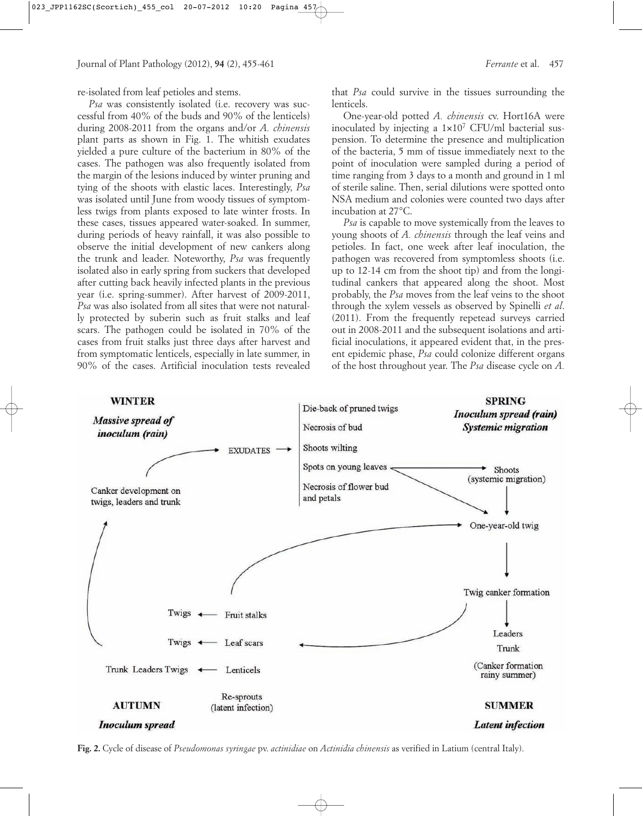re-isolated from leaf petioles and stems.

*Psa* was consistently isolated (i.e. recovery was successful from 40% of the buds and 90% of the lenticels) during 2008-2011 from the organs and/or *A. chinensis* plant parts as shown in Fig. 1. The whitish exudates yielded a pure culture of the bacterium in 80% of the cases. The pathogen was also frequently isolated from the margin of the lesions induced by winter pruning and tying of the shoots with elastic laces. Interestingly, *Psa* was isolated until June from woody tissues of symptomless twigs from plants exposed to late winter frosts. In these cases, tissues appeared water-soaked. In summer, during periods of heavy rainfall, it was also possible to observe the initial development of new cankers along the trunk and leader. Noteworthy, *Psa* was frequently isolated also in early spring from suckers that developed after cutting back heavily infected plants in the previous year (i.e. spring-summer). After harvest of 2009-2011, *Psa* was also isolated from all sites that were not naturally protected by suberin such as fruit stalks and leaf scars. The pathogen could be isolated in 70% of the cases from fruit stalks just three days after harvest and from symptomatic lenticels, especially in late summer, in 90% of the cases. Artificial inoculation tests revealed that *Psa* could survive in the tissues surrounding the lenticels.

One-year-old potted *A. chinensis* cv. Hort16A were inoculated by injecting a 1×107 CFU/ml bacterial suspension. To determine the presence and multiplication of the bacteria, 5 mm of tissue immediately next to the point of inoculation were sampled during a period of time ranging from 3 days to a month and ground in 1 ml of sterile saline. Then, serial dilutions were spotted onto NSA medium and colonies were counted two days after incubation at 27°C.

*Psa* is capable to move systemically from the leaves to young shoots of *A. chinensis* through the leaf veins and petioles. In fact, one week after leaf inoculation, the pathogen was recovered from symptomless shoots (i.e. up to 12-14 cm from the shoot tip) and from the longitudinal cankers that appeared along the shoot. Most probably, the *Psa* moves from the leaf veins to the shoot through the xylem vessels as observed by Spinelli *et al*. (2011). From the frequently repetead surveys carried out in 2008-2011 and the subsequent isolations and artificial inoculations, it appeared evident that, in the present epidemic phase, *Psa* could colonize different organs of the host throughout year. The *Psa* disease cycle on *A.*



**Fig. 2.** Cycle of disease of *Pseudomonas syringae* pv. *actinidiae* on *Actinidia chinensis* as verified in Latium (central Italy).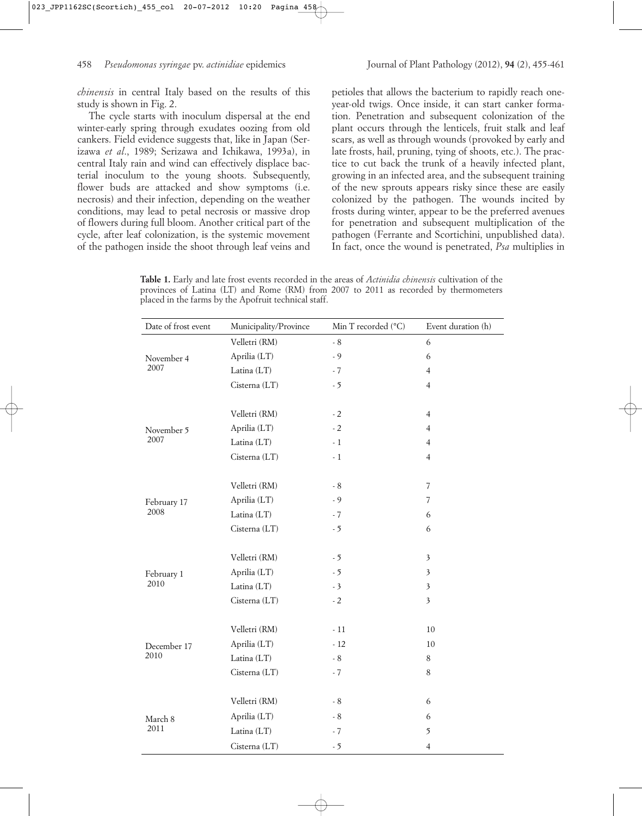*chinensis* in central Italy based on the results of this study is shown in Fig. 2.

The cycle starts with inoculum dispersal at the end winter-early spring through exudates oozing from old cankers. Field evidence suggests that, like in Japan (Serizawa *et al*., 1989; Serizawa and Ichikawa, 1993a), in central Italy rain and wind can effectively displace bacterial inoculum to the young shoots. Subsequently, flower buds are attacked and show symptoms (i.e. necrosis) and their infection, depending on the weather conditions, may lead to petal necrosis or massive drop of flowers during full bloom. Another critical part of the cycle, after leaf colonization, is the systemic movement of the pathogen inside the shoot through leaf veins and petioles that allows the bacterium to rapidly reach oneyear-old twigs. Once inside, it can start canker formation. Penetration and subsequent colonization of the plant occurs through the lenticels, fruit stalk and leaf scars, as well as through wounds (provoked by early and late frosts, hail, pruning, tying of shoots, etc.). The practice to cut back the trunk of a heavily infected plant, growing in an infected area, and the subsequent training of the new sprouts appears risky since these are easily colonized by the pathogen. The wounds incited by frosts during winter, appear to be the preferred avenues for penetration and subsequent multiplication of the pathogen (Ferrante and Scortichini, unpublished data). In fact, once the wound is penetrated, *Psa* multiplies in

**Table 1.** Early and late frost events recorded in the areas of *Actinidia chinensis* cultivation of the provinces of Latina (LT) and Rome (RM) from 2007 to 2011 as recorded by thermometers placed in the farms by the Apofruit technical staff.

| Date of frost event | Municipality/Province | Min T recorded (°C) | Event duration (h)      |
|---------------------|-----------------------|---------------------|-------------------------|
| November 4<br>2007  | Velletri (RM)         | $-8$                | 6                       |
|                     | Aprilia (LT)          | $-9$                | 6                       |
|                     | Latina (LT)           | $-7$                | 4                       |
|                     | Cisterna (LT)         | $-5$                | $\overline{4}$          |
|                     |                       |                     |                         |
| November 5<br>2007  | Velletri (RM)         | $-2$                | $\overline{4}$          |
|                     | Aprilia (LT)          | $-2$                | $\overline{4}$          |
|                     | Latina (LT)           | $-1$                | 4                       |
|                     | Cisterna (LT)         | $-1$                | $\overline{4}$          |
|                     |                       |                     |                         |
| February 17<br>2008 | Velletri (RM)         | $-8$                | $\overline{7}$          |
|                     | Aprilia (LT)          | $-9$                | $\overline{7}$          |
|                     | Latina (LT)           | $-7$                | 6                       |
|                     | Cisterna (LT)         | $-5$                | 6                       |
| February 1<br>2010  |                       |                     |                         |
|                     | Velletri (RM)         | $-5$                | $\mathfrak{Z}$          |
|                     | Aprilia (LT)          | $-5$                | $\mathfrak{Z}$          |
|                     | Latina (LT)           | $-3$                | $\overline{\mathbf{3}}$ |
|                     | Cisterna (LT)         | $-2$                | $\mathfrak{Z}$          |
|                     |                       |                     |                         |
| December 17<br>2010 | Velletri (RM)         | $-11$               | 10                      |
|                     | Aprilia (LT)          | $-12$               | 10                      |
|                     | Latina (LT)           | - $\,$              | 8                       |
|                     | Cisterna (LT)         | $-7$                | 8                       |
|                     |                       |                     |                         |
| March 8<br>2011     | Velletri (RM)         | $-8$                | 6                       |
|                     | Aprilia (LT)          | - $\,$              | 6                       |
|                     | Latina (LT)           | $-7$                | 5                       |
|                     | Cisterna (LT)         | $-5$                | $\overline{4}$          |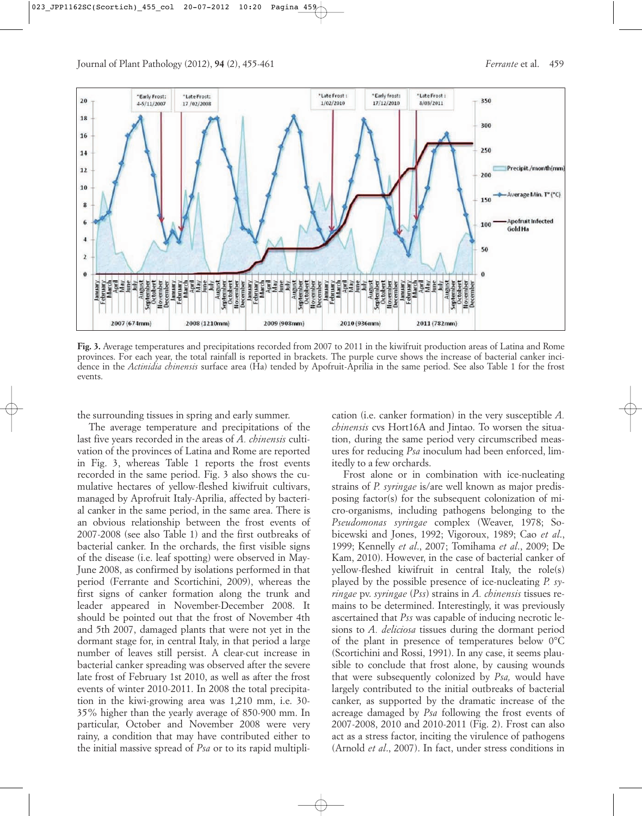

**Fig. 3.** Average temperatures and precipitations recorded from 2007 to 2011 in the kiwifruit production areas of Latina and Rome provinces. For each year, the total rainfall is reported in brackets. The purple curve shows the increase of bacterial canker incidence in the *Actinidia chinensis* surface area (Ha) tended by Apofruit-Aprilia in the same period. See also Table 1 for the frost events.

the surrounding tissues in spring and early summer.

The average temperature and precipitations of the last five years recorded in the areas of *A. chinensis* cultivation of the provinces of Latina and Rome are reported in Fig. 3, whereas Table 1 reports the frost events recorded in the same period. Fig. 3 also shows the cumulative hectares of yellow-fleshed kiwifruit cultivars, managed by Aprofruit Italy-Aprilia, affected by bacterial canker in the same period, in the same area. There is an obvious relationship between the frost events of 2007-2008 (see also Table 1) and the first outbreaks of bacterial canker. In the orchards, the first visible signs of the disease (i.e. leaf spotting) were observed in May-June 2008, as confirmed by isolations performed in that period (Ferrante and Scortichini, 2009), whereas the first signs of canker formation along the trunk and leader appeared in November-December 2008. It should be pointed out that the frost of November 4th and 5th 2007, damaged plants that were not yet in the dormant stage for, in central Italy, in that period a large number of leaves still persist. A clear-cut increase in bacterial canker spreading was observed after the severe late frost of February 1st 2010, as well as after the frost events of winter 2010-2011. In 2008 the total precipitation in the kiwi-growing area was 1,210 mm, i.e. 30- 35% higher than the yearly average of 850-900 mm. In particular, October and November 2008 were very rainy, a condition that may have contributed either to the initial massive spread of *Psa* or to its rapid multiplication (i.e. canker formation) in the very susceptible *A. chinensis* cvs Hort16A and Jintao. To worsen the situation, during the same period very circumscribed measures for reducing *Psa* inoculum had been enforced, limitedly to a few orchards.

Frost alone or in combination with ice-nucleating strains of *P. syringae* is/are well known as major predisposing factor(s) for the subsequent colonization of micro-organisms, including pathogens belonging to the *Pseudomonas syringae* complex (Weaver, 1978; Sobicewski and Jones, 1992; Vigoroux, 1989; Cao *et al*., 1999; Kennelly *et al*., 2007; Tomihama *et al*., 2009; De Kam, 2010). However, in the case of bacterial canker of yellow-fleshed kiwifruit in central Italy, the role(s) played by the possible presence of ice-nucleating *P. syringae* pv. *syringae* (*Pss*) strains in *A. chinensis* tissues remains to be determined. Interestingly, it was previously ascertained that *Pss* was capable of inducing necrotic lesions to *A. deliciosa* tissues during the dormant period of the plant in presence of temperatures below 0°C (Scortichini and Rossi, 1991). In any case, it seems plausible to conclude that frost alone, by causing wounds that were subsequently colonized by *Psa,* would have largely contributed to the initial outbreaks of bacterial canker, as supported by the dramatic increase of the acreage damaged by *Psa* following the frost events of 2007-2008, 2010 and 2010-2011 (Fig. 2). Frost can also act as a stress factor, inciting the virulence of pathogens (Arnold *et al*., 2007). In fact, under stress conditions in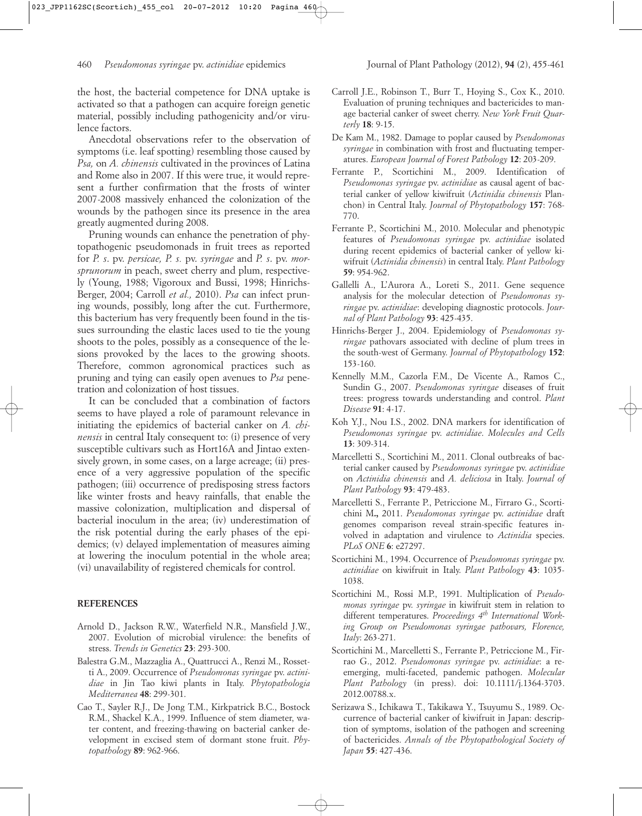the host, the bacterial competence for DNA uptake is activated so that a pathogen can acquire foreign genetic material, possibly including pathogenicity and/or virulence factors.

Anecdotal observations refer to the observation of symptoms (i.e. leaf spotting) resembling those caused by *Psa,* on *A. chinensis* cultivated in the provinces of Latina and Rome also in 2007. If this were true, it would represent a further confirmation that the frosts of winter 2007-2008 massively enhanced the colonization of the wounds by the pathogen since its presence in the area greatly augmented during 2008.

Pruning wounds can enhance the penetration of phytopathogenic pseudomonads in fruit trees as reported for *P. s*. pv. *persicae, P. s.* pv. *syringae* and *P. s*. pv. *morsprunorum* in peach, sweet cherry and plum, respectively (Young, 1988; Vigoroux and Bussi, 1998; Hinrichs-Berger, 2004; Carroll *et al.,* 2010). *Psa* can infect pruning wounds, possibly, long after the cut. Furthermore, this bacterium has very frequently been found in the tissues surrounding the elastic laces used to tie the young shoots to the poles, possibly as a consequence of the lesions provoked by the laces to the growing shoots. Therefore, common agronomical practices such as pruning and tying can easily open avenues to *Psa* penetration and colonization of host tissues.

It can be concluded that a combination of factors seems to have played a role of paramount relevance in initiating the epidemics of bacterial canker on *A. chinensis* in central Italy consequent to: (i) presence of very susceptible cultivars such as Hort16A and Jintao extensively grown, in some cases, on a large acreage; (ii) presence of a very aggressive population of the specific pathogen; (iii) occurrence of predisposing stress factors like winter frosts and heavy rainfalls, that enable the massive colonization, multiplication and dispersal of bacterial inoculum in the area; (iv) underestimation of the risk potential during the early phases of the epidemics; (v) delayed implementation of measures aiming at lowering the inoculum potential in the whole area; (vi) unavailability of registered chemicals for control.

## **REFERENCES**

- Arnold D., Jackson R.W., Waterfield N.R., Mansfield J.W., 2007. Evolution of microbial virulence: the benefits of stress. *Trends in Genetics* **23**: 293-300.
- Balestra G.M., Mazzaglia A., Quattrucci A., Renzi M., Rossetti A., 2009. Occurrence of *Pseudomonas syringae* pv. *actinidiae* in Jin Tao kiwi plants in Italy. *Phytopathologia Mediterranea* **48**: 299-301.
- Cao T., Sayler R.J., De Jong T.M., Kirkpatrick B.C., Bostock R.M., Shackel K.A., 1999. Influence of stem diameter, water content, and freezing-thawing on bacterial canker development in excised stem of dormant stone fruit. *Phytopathology* **89**: 962-966.
- Carroll J.E., Robinson T., Burr T., Hoying S., Cox K., 2010. Evaluation of pruning techniques and bactericides to manage bacterial canker of sweet cherry. *New York Fruit Quarterly* **18**: 9-15.
- De Kam M., 1982. Damage to poplar caused by *Pseudomonas syringae* in combination with frost and fluctuating temperatures. *European Journal of Forest Pathology* **12**: 203-209.
- Ferrante P., Scortichini M., 2009. Identification of *Pseudomonas syringae* pv. *actinidiae* as causal agent of bacterial canker of yellow kiwifruit (*Actinidia chinensis* Planchon) in Central Italy. *Journal of Phytopathology* **157**: 768- 770.
- Ferrante P., Scortichini M., 2010. Molecular and phenotypic features of *Pseudomonas syringae* pv. *actinidiae* isolated during recent epidemics of bacterial canker of yellow kiwifruit (*Actinidia chinensis*) in central Italy. *Plant Pathology* **59**: 954-962.
- Gallelli A., L'Aurora A., Loreti S., 2011. Gene sequence analysis for the molecular detection of *Pseudomonas syringae* pv. *actinidiae*: developing diagnostic protocols. *Journal of Plant Pathology* **93**: 425-435.
- Hinrichs-Berger J., 2004. Epidemiology of *Pseudomonas syringae* pathovars associated with decline of plum trees in the south-west of Germany. *Journal of Phytopathology* **152**: 153-160.
- Kennelly M.M., Cazorla F.M., De Vicente A., Ramos C., Sundin G., 2007. *Pseudomonas syringae* diseases of fruit trees: progress towards understanding and control. *Plant Disease* **91**: 4-17.
- Koh Y.J., Nou I.S., 2002. DNA markers for identification of *Pseudomonas syringae* pv. *actinidiae*. *Molecules and Cells* **13**: 309-314.
- Marcelletti S., Scortichini M., 2011. Clonal outbreaks of bacterial canker caused by *Pseudomonas syringae* pv. *actinidiae* on *Actinidia chinensis* and *A. deliciosa* in Italy. *Journal of Plant Pathology* **93**: 479-483.
- Marcelletti S., Ferrante P., Petriccione M., Firraro G., Scortichini M**.,** 2011. *Pseudomonas syringae* pv. *actinidiae* draft genomes comparison reveal strain-specific features involved in adaptation and virulence to *Actinidia* species. *PLoS ONE* **6**: e27297.
- Scortichini M., 1994. Occurrence of *Pseudomonas syringae* pv. *actinidiae* on kiwifruit in Italy. *Plant Pathology* **43**: 1035- 1038.
- Scortichini M., Rossi M.P., 1991. Multiplication of *Pseudomonas syringae* pv. *syringae* in kiwifruit stem in relation to different temperatures. *Proceedings 4th International Working Group on Pseudomonas syringae pathovars, Florence, Italy*: 263-271.
- Scortichini M., Marcelletti S., Ferrante P., Petriccione M., Firrao G., 2012. *Pseudomonas syringae* pv. *actinidiae*: a reemerging, multi-faceted, pandemic pathogen. *Molecular Plant Pathology* (in press). doi: 10.1111/j.1364-3703. 2012.00788.x.
- Serizawa S., Ichikawa T., Takikawa Y., Tsuyumu S., 1989. Occurrence of bacterial canker of kiwifruit in Japan: description of symptoms, isolation of the pathogen and screening of bactericides. *Annals of the Phytopathological Society of Japan* **55**: 427-436.